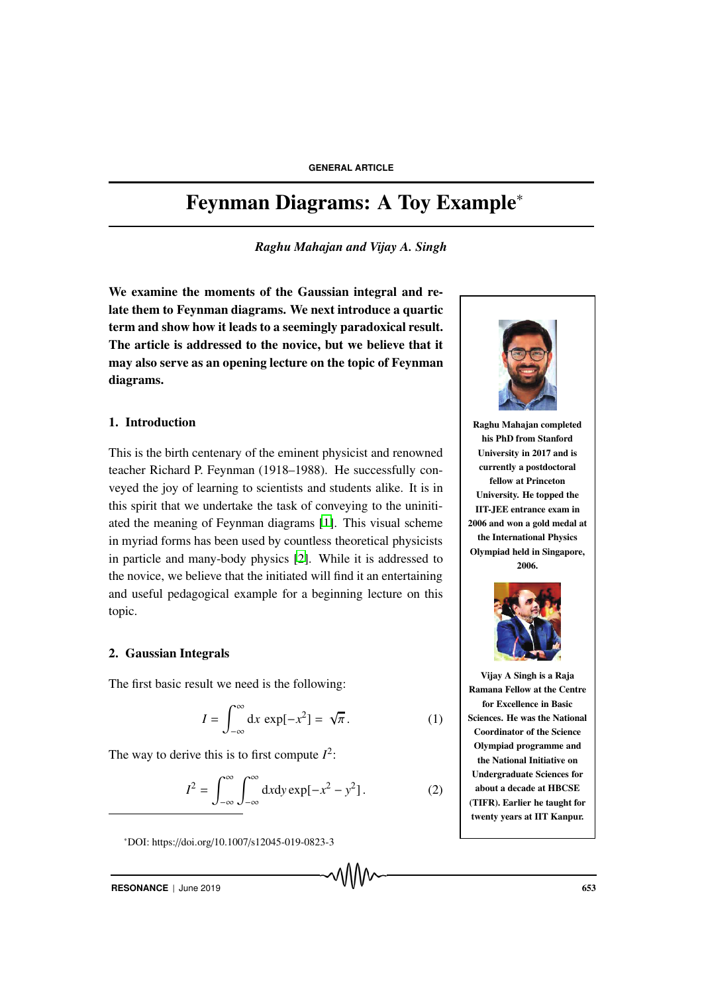# Feynman Diagrams: A Toy Example<sup>∗</sup>

*Raghu Mahajan and Vijay A. Singh*

We examine the moments of the Gaussian integral and relate them to Feynman diagrams. We next introduce a quartic term and show how it leads to a seemingly paradoxical result. The article is addressed to the novice, but we believe that it may also serve as an opening lecture on the topic of Feynman diagrams.

# 1. Introduction

This is the birth centenary of the eminent physicist and renowned teacher Richard P. Feynman (1918–1988). He successfully conveyed the joy of learning to scientists and students alike. It is in this spirit that we undertake the task of conveying to the uninitiated the meaning of Feynman diagrams [1]. This visual scheme in myriad forms has been used by countless theoretical physicists in particle and many-body physics [2]. While it is addressed to the novice, we believe that the initiated will find it an entertaining and useful pedagogical example for a beginning lecture on this topic.

### 2. Gaussian Integrals

The first basic result we need is the following:

$$
I = \int_{-\infty}^{\infty} dx \, \exp[-x^2] = \sqrt{\pi}.
$$
 (1)

The way to derive this is to first compute  $I^2$ :

$$
I^{2} = \int_{-\infty}^{\infty} \int_{-\infty}^{\infty} dxdy \exp[-x^{2} - y^{2}].
$$
 (2)

<sup>∗</sup>DOI: https://doi.org/10.1007/s12045-019-0823-3



Raghu Mahajan completed his PhD from Stanford University in 2017 and is currently a postdoctoral fellow at Princeton University. He topped the IIT-JEE entrance exam in 2006 and won a gold medal at the International Physics Olympiad held in Singapore, 2006.



Vijay A Singh is a Raja Ramana Fellow at the Centre for Excellence in Basic Sciences. He was the National Coordinator of the Science Olympiad programme and the National Initiative on Undergraduate Sciences for about a decade at HBCSE (TIFR). Earlier he taught for twenty years at IIT Kanpur.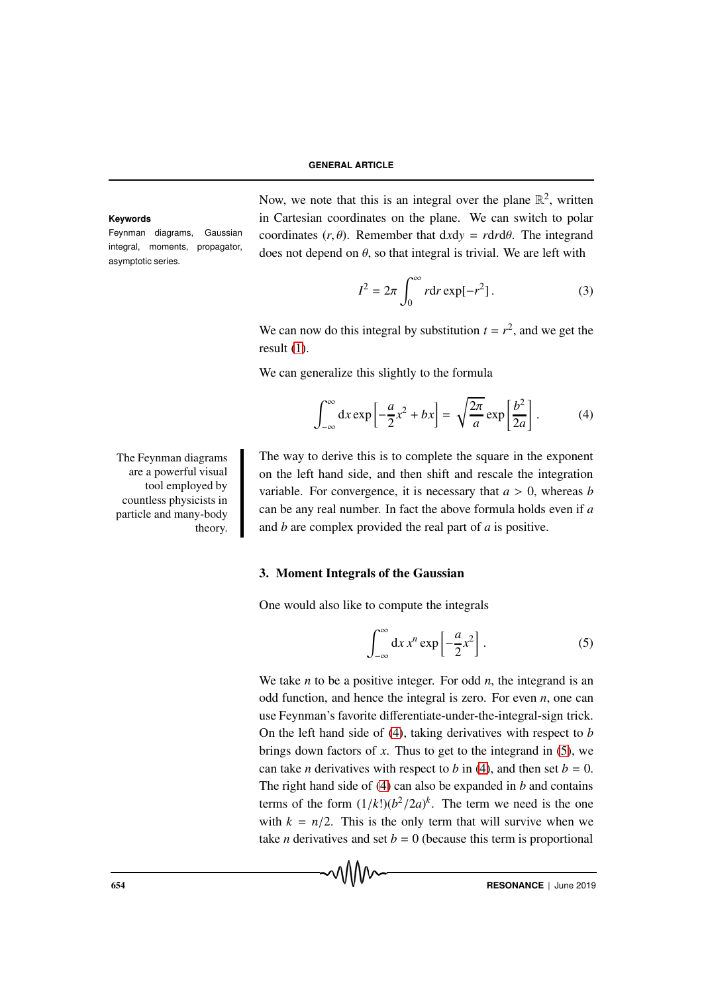Feynman diagrams, Gaussian integral, moments, propagator, asymptotic series.

Now, we note that this is an integral over the plane  $\mathbb{R}^2$ , written **Keywords** in Cartesian coordinates on the plane. We can switch to polar coordinates  $(r, \theta)$ . Remember that  $dxdy = rdrd\theta$ . The integrand does not depend on  $\theta$ , so that integral is trivial. We are left with

$$
I^2 = 2\pi \int_0^\infty r \mathrm{d}r \exp[-r^2]. \tag{3}
$$

We can now do this integral by substitution  $t = r^2$ , and we get the result (1).

We can generalize this slightly to the formula

$$
\int_{-\infty}^{\infty} dx \exp\left[-\frac{a}{2}x^2 + bx\right] = \sqrt{\frac{2\pi}{a}} \exp\left[\frac{b^2}{2a}\right].
$$
 (4)

The Feynman diagrams are a powerful visual tool employed by countless physicists in particle and many-body theory.

The way to derive this is to complete the square in the exponent on the left hand side, and then shift and rescale the integration variable. For convergence, it is necessary that  $a > 0$ , whereas *b* can be any real number. In fact the above formula holds even if *a* and *b* are complex provided the real part of *a* is positive.

# 3. Moment Integrals of the Gaussian

One would also like to compute the integrals

$$
\int_{-\infty}^{\infty} dx \, x^n \exp\left[-\frac{a}{2}x^2\right].
$$
 (5)

We take *n* to be a positive integer. For odd *n*, the integrand is an odd function, and hence the integral is zero. For even *n*, one can use Feynman's favorite differentiate-under-the-integral-sign trick. On the left hand side of (4), taking derivatives with respect to *b* brings down factors of *x*. Thus to get to the integrand in (5), we can take *n* derivatives with respect to *b* in (4), and then set  $b = 0$ . The right hand side of (4) can also be expanded in *b* and contains terms of the form  $(1/k!)(b^2/2a)^k$ . The term we need is the one with  $k = n/2$ . This is the only term that will survive when we take *n* derivatives and set  $b = 0$  (because this term is proportional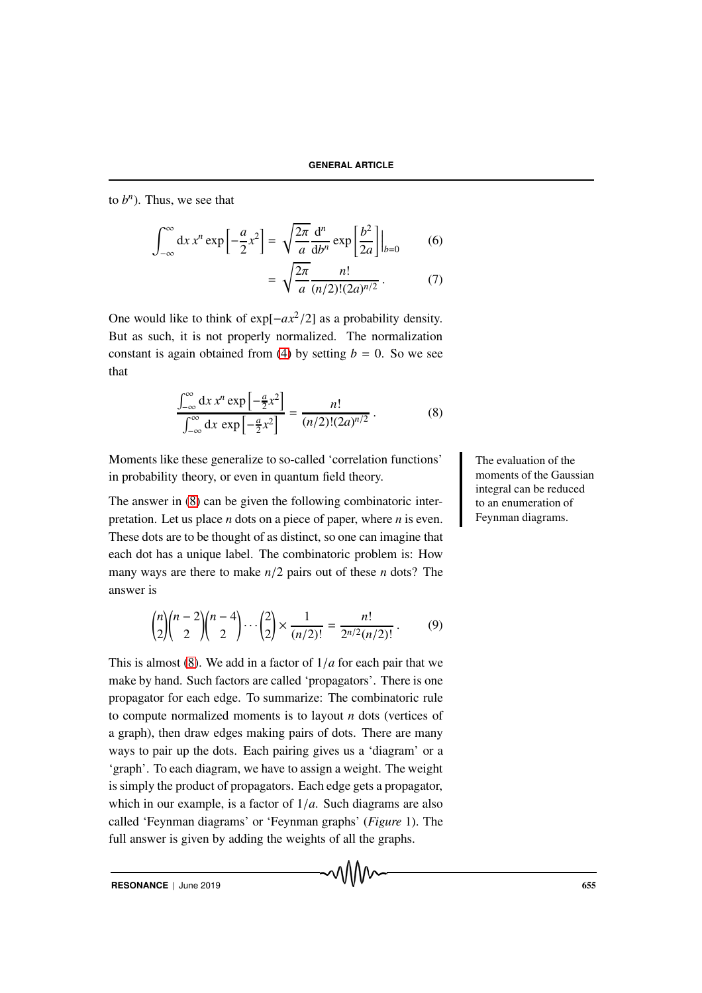to  $b^n$ ). Thus, we see that

$$
\int_{-\infty}^{\infty} dx x^n \exp\left[-\frac{a}{2}x^2\right] = \sqrt{\frac{2\pi}{a}} \frac{d^n}{db^n} \exp\left[\frac{b^2}{2a}\right] \Big|_{b=0}
$$
 (6)  
= 
$$
\sqrt{\frac{2\pi}{a}} \frac{n!}{(n/2)!(2a)^{n/2}}.
$$
 (7)

One would like to think of exp[−*ax*2/2] as a probability density. But as such, it is not properly normalized. The normalization constant is again obtained from (4) by setting  $b = 0$ . So we see that

$$
\frac{\int_{-\infty}^{\infty} dx x^n \exp\left[-\frac{a}{2}x^2\right]}{\int_{-\infty}^{\infty} dx \exp\left[-\frac{a}{2}x^2\right]} = \frac{n!}{(n/2)!(2a)^{n/2}}.
$$
 (8)

Moments like these generalize to so-called 'correlation functions' The evaluation of the in probability theory, or even in quantum field theory.

The answer in (8) can be given the following combinatoric interpretation. Let us place *n* dots on a piece of paper, where *n* is even. These dots are to be thought of as distinct, so one can imagine that each dot has a unique label. The combinatoric problem is: How many ways are there to make *n*/2 pairs out of these *n* dots? The answer is

$$
\binom{n}{2}\binom{n-2}{2}\binom{n-4}{2}\cdots\binom{2}{2}\times\frac{1}{(n/2)!}=\frac{n!}{2^{n/2}(n/2)!}.
$$
 (9)

This is almost (8). We add in a factor of 1/*a* for each pair that we make by hand. Such factors are called 'propagators'. There is one propagator for each edge. To summarize: The combinatoric rule to compute normalized moments is to layout *n* dots (vertices of a graph), then draw edges making pairs of dots. There are many ways to pair up the dots. Each pairing gives us a 'diagram' or a 'graph'. To each diagram, we have to assign a weight. The weight is simply the product of propagators. Each edge gets a propagator, which in our example, is a factor of 1/*a*. Such diagrams are also called 'Feynman diagrams' or 'Feynman graphs' (*Figure* 1). The full answer is given by adding the weights of all the graphs.

moments of the Gaussian integral can be reduced to an enumeration of Feynman diagrams.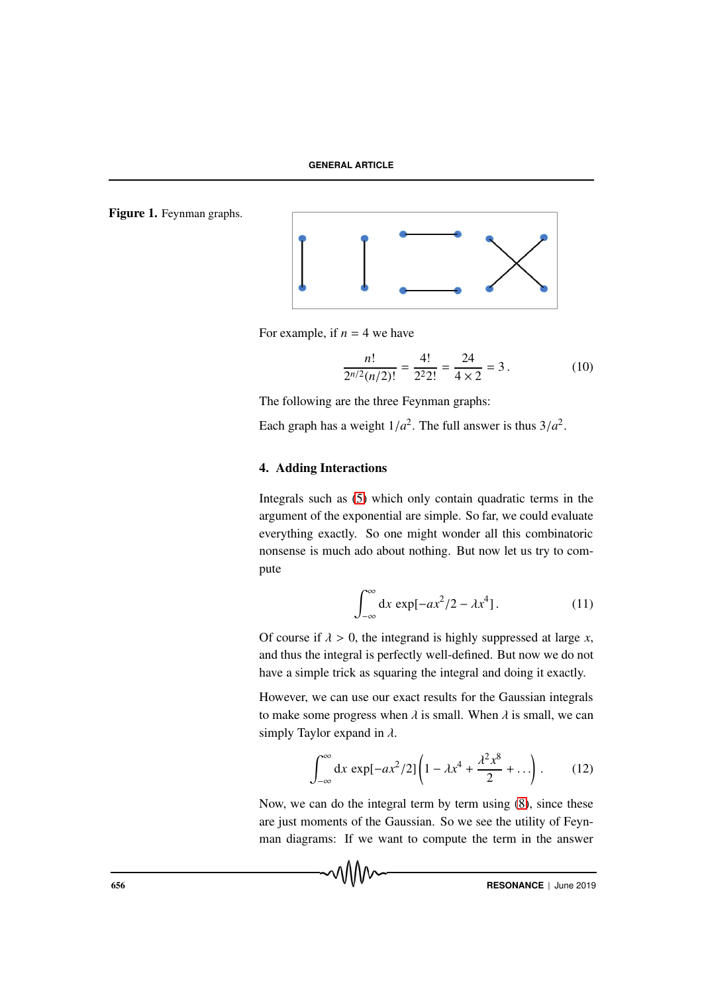Figure 1. Feynman graphs.



For example, if  $n = 4$  we have

$$
\frac{n!}{2^{n/2}(n/2)!} = \frac{4!}{2^2 2!} = \frac{24}{4 \times 2} = 3.
$$
 (10)

The following are the three Feynman graphs:

Each graph has a weight  $1/a^2$ . The full answer is thus  $3/a^2$ .

# 4. Adding Interactions

Integrals such as (5) which only contain quadratic terms in the argument of the exponential are simple. So far, we could evaluate everything exactly. So one might wonder all this combinatoric nonsense is much ado about nothing. But now let us try to compute

$$
\int_{-\infty}^{\infty} dx \, \exp[-ax^2/2 - \lambda x^4]. \tag{11}
$$

Of course if  $\lambda > 0$ , the integrand is highly suppressed at large *x*, and thus the integral is perfectly well-defined. But now we do not have a simple trick as squaring the integral and doing it exactly.

However, we can use our exact results for the Gaussian integrals to make some progress when  $\lambda$  is small. When  $\lambda$  is small, we can simply Taylor expand in  $\lambda$ .

$$
\int_{-\infty}^{\infty} dx \, \exp[-ax^2/2] \left(1 - \lambda x^4 + \frac{\lambda^2 x^8}{2} + \ldots \right). \tag{12}
$$

Now, we can do the integral term by term using (8), since these are just moments of the Gaussian. So we see the utility of Feynman diagrams: If we want to compute the term in the answer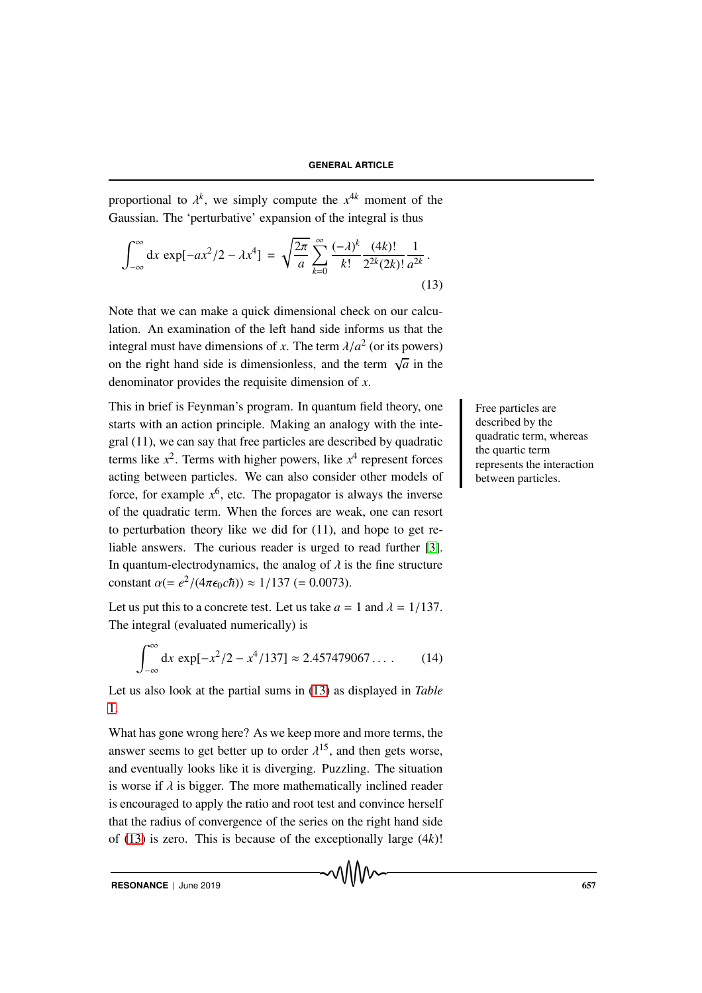proportional to  $\lambda^k$ , we simply compute the  $x^{4k}$  moment of the Gaussian. The 'perturbative' expansion of the integral is thus

$$
\int_{-\infty}^{\infty} dx \, \exp[-ax^2/2 - \lambda x^4] = \sqrt{\frac{2\pi}{a}} \sum_{k=0}^{\infty} \frac{(-\lambda)^k}{k!} \frac{(4k)!}{2^{2k}(2k)!} \frac{1}{a^{2k}}.
$$
\n(13)

Note that we can make a quick dimensional check on our calculation. An examination of the left hand side informs us that the integral must have dimensions of *x*. The term  $\lambda/a^2$  (or its powers) on the right hand side is dimensionless, and the term  $\sqrt{a}$  in the denominator provides the requisite dimension of *x*.

This in brief is Feynman's program. In quantum field theory, one Free particles are starts with an action principle. Making an analogy with the integral (11), we can say that free particles are described by quadratic terms like  $x^2$ . Terms with higher powers, like  $x^4$  represent forces acting between particles. We can also consider other models of force, for example  $x^6$ , etc. The propagator is always the inverse of the quadratic term. When the forces are weak, one can resort to perturbation theory like we did for (11), and hope to get reliable answers. The curious reader is urged to read further [3]. In quantum-electrodynamics, the analog of  $\lambda$  is the fine structure constant  $\alpha (= e^2/(4\pi\epsilon_0 c\hbar)) \approx 1/137 (= 0.0073)$ .

Let us put this to a concrete test. Let us take  $a = 1$  and  $\lambda = 1/137$ . The integral (evaluated numerically) is

$$
\int_{-\infty}^{\infty} dx \, \exp[-x^2/2 - x^4/137] \approx 2.457479067\dots \qquad (14)
$$

Let us also look at the partial sums in (13) as displayed in *Table* 1.

What has gone wrong here? As we keep more and more terms, the answer seems to get better up to order  $\lambda^{15}$ , and then gets worse, and eventually looks like it is diverging. Puzzling. The situation is worse if  $\lambda$  is bigger. The more mathematically inclined reader is encouraged to apply the ratio and root test and convince herself that the radius of convergence of the series on the right hand side of (13) is zero. This is because of the exceptionally large (4*k*)!

described by the quadratic term, whereas the quartic term represents the interaction between particles.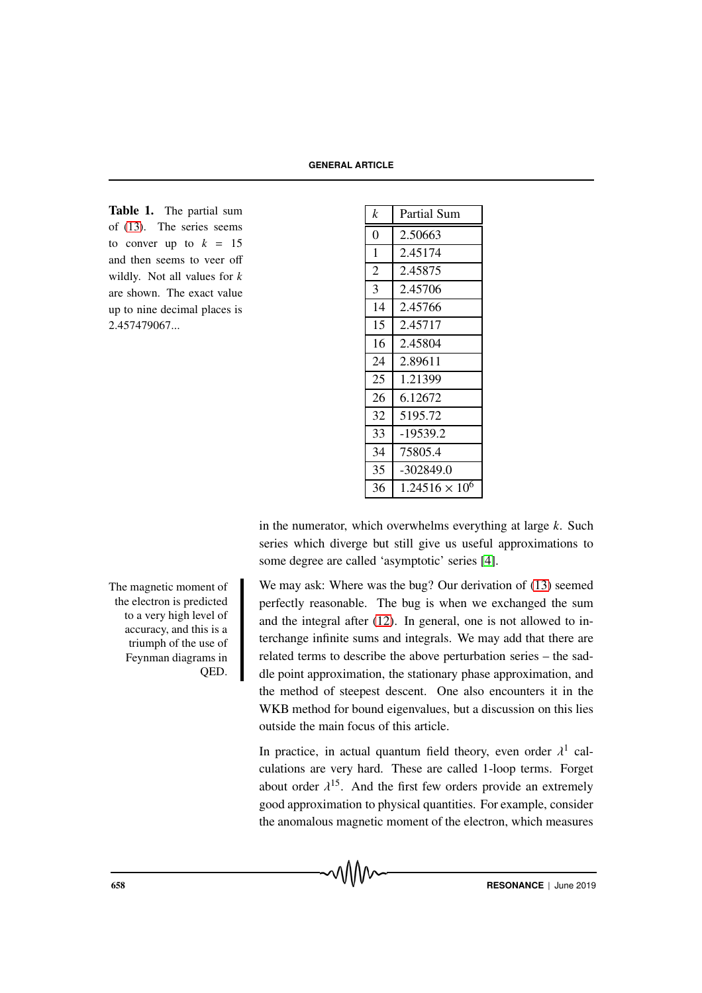Table 1. The partial sum of (13). The series seems to conver up to  $k = 15$ and then seems to veer off wildly. Not all values for *k* are shown. The exact value up to nine decimal places is 2.457479067...

| k              | Partial Sum           |
|----------------|-----------------------|
| 0              | 2.50663               |
| $\mathbf{1}$   | 2.45174               |
| $\overline{2}$ | 2.45875               |
| 3              | 2.45706               |
| 14             | 2.45766               |
| 15             | 2.45717               |
| 16             | 2.45804               |
| 24             | 2.89611               |
| 25             | 1.21399               |
| 26             | 6.12672               |
| 32             | 5195.72               |
| 33             | -19539.2              |
| 34             | 75805.4               |
| 35             | -302849.0             |
| 36             | $1.24516 \times 10^6$ |

in the numerator, which overwhelms everything at large *k*. Such series which diverge but still give us useful approximations to some degree are called 'asymptotic' series [4].

We may ask: Where was the bug? Our derivation of (13) seemed perfectly reasonable. The bug is when we exchanged the sum and the integral after (12). In general, one is not allowed to interchange infinite sums and integrals. We may add that there are related terms to describe the above perturbation series – the saddle point approximation, the stationary phase approximation, and the method of steepest descent. One also encounters it in the WKB method for bound eigenvalues, but a discussion on this lies outside the main focus of this article.

In practice, in actual quantum field theory, even order  $\lambda^1$  calculations are very hard. These are called 1-loop terms. Forget about order  $\lambda^{15}$ . And the first few orders provide an extremely good approximation to physical quantities. For example, consider the anomalous magnetic moment of the electron, which measures

The magnetic moment of the electron is predicted to a very high level of accuracy, and this is a triumph of the use of Feynman diagrams in QED.